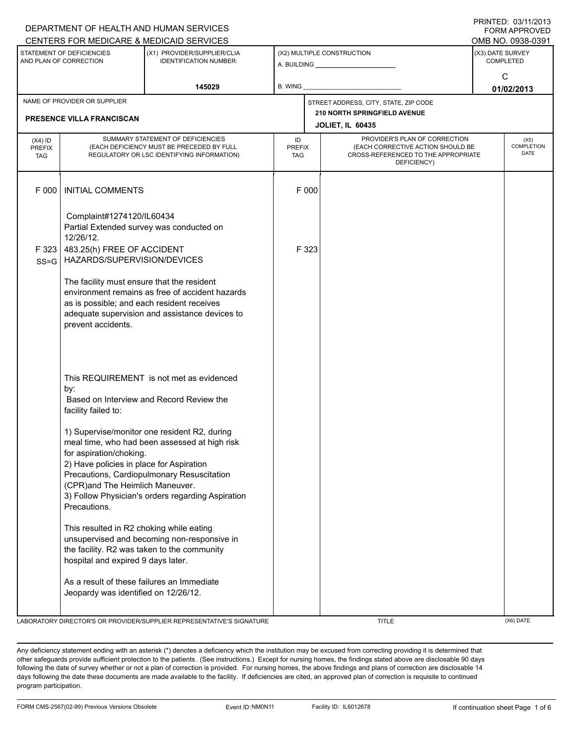|                                                     |                                                                                                                                                                                                                     | DEPARTMENT OF HEALTH AND HUMAN SERVICES                                                                                                                                                          |                            |       |                                                                                                                          |                                      | טו ט∡זווישט. ש∟וואוו<br><b>FORM APPROVED</b> |
|-----------------------------------------------------|---------------------------------------------------------------------------------------------------------------------------------------------------------------------------------------------------------------------|--------------------------------------------------------------------------------------------------------------------------------------------------------------------------------------------------|----------------------------|-------|--------------------------------------------------------------------------------------------------------------------------|--------------------------------------|----------------------------------------------|
|                                                     |                                                                                                                                                                                                                     | CENTERS FOR MEDICARE & MEDICAID SERVICES                                                                                                                                                         |                            |       |                                                                                                                          |                                      | OMB NO. 0938-0391                            |
| STATEMENT OF DEFICIENCIES<br>AND PLAN OF CORRECTION |                                                                                                                                                                                                                     | (X1) PROVIDER/SUPPLIER/CLIA<br><b>IDENTIFICATION NUMBER:</b>                                                                                                                                     |                            |       | (X2) MULTIPLE CONSTRUCTION                                                                                               | (X3) DATE SURVEY<br><b>COMPLETED</b> |                                              |
| 145029                                              |                                                                                                                                                                                                                     |                                                                                                                                                                                                  | B. WING                    |       |                                                                                                                          | C<br>01/02/2013                      |                                              |
|                                                     | NAME OF PROVIDER OR SUPPLIER                                                                                                                                                                                        |                                                                                                                                                                                                  |                            |       | STREET ADDRESS, CITY, STATE, ZIP CODE                                                                                    |                                      |                                              |
|                                                     | <b>PRESENCE VILLA FRANCISCAN</b>                                                                                                                                                                                    |                                                                                                                                                                                                  |                            |       | <b>210 NORTH SPRINGFIELD AVENUE</b><br><b>JOLIET, IL 60435</b>                                                           |                                      |                                              |
| $(X4)$ ID<br><b>PREFIX</b><br><b>TAG</b>            | SUMMARY STATEMENT OF DEFICIENCIES<br>(EACH DEFICIENCY MUST BE PRECEDED BY FULL<br>REGULATORY OR LSC IDENTIFYING INFORMATION)                                                                                        |                                                                                                                                                                                                  | ID<br><b>PREFIX</b><br>TAG |       | PROVIDER'S PLAN OF CORRECTION<br>(EACH CORRECTIVE ACTION SHOULD BE<br>CROSS-REFERENCED TO THE APPROPRIATE<br>DEFICIENCY) |                                      | (X5)<br>COMPLETION<br><b>DATE</b>            |
| F 000                                               | <b>INITIAL COMMENTS</b>                                                                                                                                                                                             |                                                                                                                                                                                                  |                            | F 000 |                                                                                                                          |                                      |                                              |
| F 323                                               | Complaint#1274120/IL60434<br>12/26/12.<br>483.25(h) FREE OF ACCIDENT                                                                                                                                                | Partial Extended survey was conducted on                                                                                                                                                         |                            | F 323 |                                                                                                                          |                                      |                                              |
| $SS = G$                                            | HAZARDS/SUPERVISION/DEVICES                                                                                                                                                                                         |                                                                                                                                                                                                  |                            |       |                                                                                                                          |                                      |                                              |
|                                                     | The facility must ensure that the resident<br>environment remains as free of accident hazards<br>as is possible; and each resident receives<br>adequate supervision and assistance devices to<br>prevent accidents. |                                                                                                                                                                                                  |                            |       |                                                                                                                          |                                      |                                              |
|                                                     | by:<br>facility failed to:                                                                                                                                                                                          | This REQUIREMENT is not met as evidenced<br>Based on Interview and Record Review the                                                                                                             |                            |       |                                                                                                                          |                                      |                                              |
|                                                     | for aspiration/choking.<br>2) Have policies in place for Aspiration<br>(CPR)and The Heimlich Maneuver.<br>Precautions.                                                                                              | 1) Supervise/monitor one resident R2, during<br>meal time, who had been assessed at high risk<br>Precautions, Cardiopulmonary Resuscitation<br>3) Follow Physician's orders regarding Aspiration |                            |       |                                                                                                                          |                                      |                                              |
|                                                     | This resulted in R2 choking while eating<br>unsupervised and becoming non-responsive in<br>the facility. R2 was taken to the community<br>hospital and expired 9 days later.                                        |                                                                                                                                                                                                  |                            |       |                                                                                                                          |                                      |                                              |
|                                                     | As a result of these failures an Immediate<br>Jeopardy was identified on 12/26/12.                                                                                                                                  |                                                                                                                                                                                                  |                            |       |                                                                                                                          |                                      |                                              |
|                                                     |                                                                                                                                                                                                                     | LABORATORY DIRECTOR'S OR PROVIDER/SUPPLIER REPRESENTATIVE'S SIGNATURE                                                                                                                            |                            |       | <b>TITLE</b>                                                                                                             |                                      | (X6) DATE                                    |

Any deficiency statement ending with an asterisk (\*) denotes a deficiency which the institution may be excused from correcting providing it is determined that other safeguards provide sufficient protection to the patients . (See instructions.) Except for nursing homes, the findings stated above are disclosable 90 days following the date of survey whether or not a plan of correction is provided. For nursing homes, the above findings and plans of correction are disclosable 14 days following the date these documents are made available to the facility. If deficiencies are cited, an approved plan of correction is requisite to continued program participation.

## PRINTED: 03/11/2013 FORM APPROVED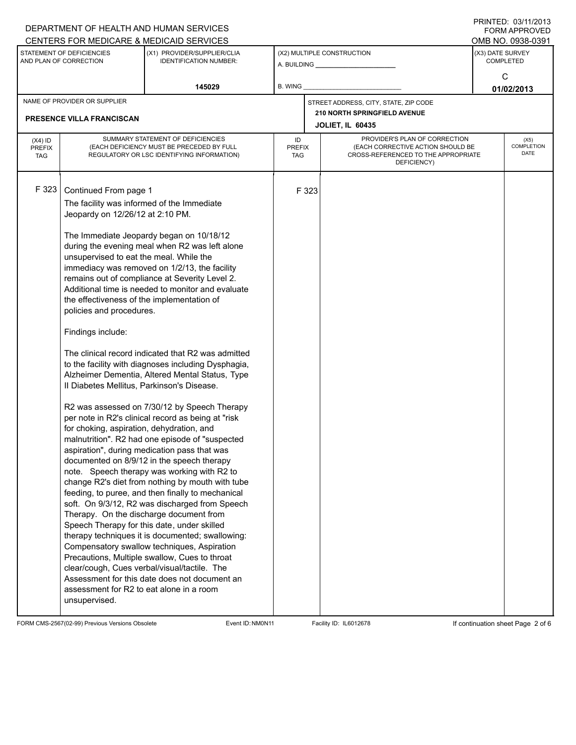|                                                                                                                        |                                            | DEPARTMENT OF HEALTH AND HUMAN SERVICES                                                         |    |                                                                          |                                       |                  | <b>FORM APPROVED</b>      |
|------------------------------------------------------------------------------------------------------------------------|--------------------------------------------|-------------------------------------------------------------------------------------------------|----|--------------------------------------------------------------------------|---------------------------------------|------------------|---------------------------|
|                                                                                                                        |                                            | CENTERS FOR MEDICARE & MEDICAID SERVICES                                                        |    |                                                                          |                                       |                  | OMB NO. 0938-0391         |
| STATEMENT OF DEFICIENCIES<br>(X1) PROVIDER/SUPPLIER/CLIA<br>AND PLAN OF CORRECTION<br><b>IDENTIFICATION NUMBER:</b>    |                                            |                                                                                                 |    | (X2) MULTIPLE CONSTRUCTION                                               | (X3) DATE SURVEY                      | <b>COMPLETED</b> |                           |
|                                                                                                                        |                                            |                                                                                                 |    |                                                                          |                                       |                  | C                         |
| 145029                                                                                                                 |                                            | B. WING                                                                                         |    |                                                                          | 01/02/2013                            |                  |                           |
|                                                                                                                        | NAME OF PROVIDER OR SUPPLIER               |                                                                                                 |    |                                                                          | STREET ADDRESS, CITY, STATE, ZIP CODE |                  |                           |
|                                                                                                                        | PRESENCE VILLA FRANCISCAN                  |                                                                                                 |    |                                                                          | <b>210 NORTH SPRINGFIELD AVENUE</b>   |                  |                           |
|                                                                                                                        |                                            |                                                                                                 |    |                                                                          | JOLIET, IL 60435                      |                  |                           |
| $(X4)$ ID                                                                                                              | SUMMARY STATEMENT OF DEFICIENCIES          |                                                                                                 | ID |                                                                          | PROVIDER'S PLAN OF CORRECTION         |                  | (X5)<br><b>COMPLETION</b> |
| (EACH DEFICIENCY MUST BE PRECEDED BY FULL<br><b>PREFIX</b><br>REGULATORY OR LSC IDENTIFYING INFORMATION)<br><b>TAG</b> |                                            | <b>PREFIX</b><br>TAG                                                                            |    | (EACH CORRECTIVE ACTION SHOULD BE<br>CROSS-REFERENCED TO THE APPROPRIATE |                                       | DATE             |                           |
|                                                                                                                        |                                            |                                                                                                 |    |                                                                          | DEFICIENCY)                           |                  |                           |
|                                                                                                                        |                                            |                                                                                                 |    |                                                                          |                                       |                  |                           |
| F 323                                                                                                                  | Continued From page 1                      |                                                                                                 |    | F 323                                                                    |                                       |                  |                           |
|                                                                                                                        | The facility was informed of the Immediate |                                                                                                 |    |                                                                          |                                       |                  |                           |
|                                                                                                                        | Jeopardy on 12/26/12 at 2:10 PM.           |                                                                                                 |    |                                                                          |                                       |                  |                           |
|                                                                                                                        |                                            | The Immediate Jeopardy began on 10/18/12                                                        |    |                                                                          |                                       |                  |                           |
|                                                                                                                        |                                            | during the evening meal when R2 was left alone                                                  |    |                                                                          |                                       |                  |                           |
|                                                                                                                        | unsupervised to eat the meal. While the    |                                                                                                 |    |                                                                          |                                       |                  |                           |
|                                                                                                                        |                                            | immediacy was removed on 1/2/13, the facility<br>remains out of compliance at Severity Level 2. |    |                                                                          |                                       |                  |                           |
|                                                                                                                        |                                            | Additional time is needed to monitor and evaluate                                               |    |                                                                          |                                       |                  |                           |
|                                                                                                                        | the effectiveness of the implementation of |                                                                                                 |    |                                                                          |                                       |                  |                           |
|                                                                                                                        | policies and procedures.                   |                                                                                                 |    |                                                                          |                                       |                  |                           |
|                                                                                                                        | Findings include:                          |                                                                                                 |    |                                                                          |                                       |                  |                           |
|                                                                                                                        |                                            | The clinical record indicated that R2 was admitted                                              |    |                                                                          |                                       |                  |                           |
|                                                                                                                        |                                            | to the facility with diagnoses including Dysphagia,                                             |    |                                                                          |                                       |                  |                           |
|                                                                                                                        |                                            | Alzheimer Dementia, Altered Mental Status, Type                                                 |    |                                                                          |                                       |                  |                           |
|                                                                                                                        | Il Diabetes Mellitus, Parkinson's Disease. |                                                                                                 |    |                                                                          |                                       |                  |                           |
|                                                                                                                        |                                            | R2 was assessed on 7/30/12 by Speech Therapy                                                    |    |                                                                          |                                       |                  |                           |
|                                                                                                                        |                                            | per note in R2's clinical record as being at "risk                                              |    |                                                                          |                                       |                  |                           |
|                                                                                                                        | for choking, aspiration, dehydration, and  |                                                                                                 |    |                                                                          |                                       |                  |                           |
|                                                                                                                        |                                            | malnutrition". R2 had one episode of "suspected                                                 |    |                                                                          |                                       |                  |                           |
|                                                                                                                        |                                            | aspiration", during medication pass that was<br>documented on 8/9/12 in the speech therapy      |    |                                                                          |                                       |                  |                           |
|                                                                                                                        |                                            | note. Speech therapy was working with R2 to                                                     |    |                                                                          |                                       |                  |                           |
|                                                                                                                        |                                            | change R2's diet from nothing by mouth with tube                                                |    |                                                                          |                                       |                  |                           |
|                                                                                                                        |                                            | feeding, to puree, and then finally to mechanical                                               |    |                                                                          |                                       |                  |                           |
|                                                                                                                        |                                            | soft. On 9/3/12, R2 was discharged from Speech<br>Therapy. On the discharge document from       |    |                                                                          |                                       |                  |                           |
|                                                                                                                        |                                            | Speech Therapy for this date, under skilled                                                     |    |                                                                          |                                       |                  |                           |
|                                                                                                                        |                                            | therapy techniques it is documented; swallowing:                                                |    |                                                                          |                                       |                  |                           |
|                                                                                                                        |                                            | Compensatory swallow techniques, Aspiration                                                     |    |                                                                          |                                       |                  |                           |
|                                                                                                                        |                                            | Precautions, Multiple swallow, Cues to throat                                                   |    |                                                                          |                                       |                  |                           |
|                                                                                                                        |                                            | clear/cough, Cues verbal/visual/tactile. The<br>Assessment for this date does not document an   |    |                                                                          |                                       |                  |                           |
|                                                                                                                        | assessment for R2 to eat alone in a room   |                                                                                                 |    |                                                                          |                                       |                  |                           |
|                                                                                                                        | unsupervised.                              |                                                                                                 |    |                                                                          |                                       |                  |                           |
|                                                                                                                        |                                            |                                                                                                 |    |                                                                          |                                       |                  |                           |

FORM CMS-2567(02-99) Previous Versions Obsolete Event ID:NM0N11 Facility ID: IL6012678 If continuation sheet Page 2 of 6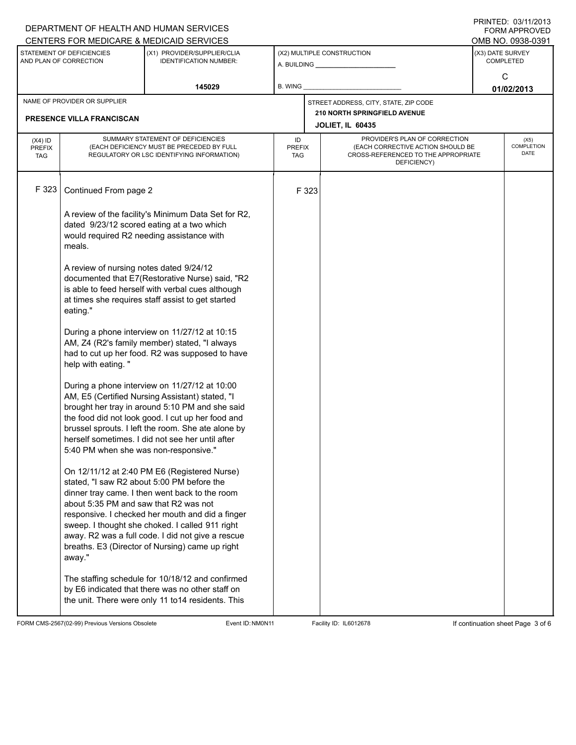|                                          |                                                                                                                                                                                                                  | DEPARTMENT OF HEALTH AND HUMAN SERVICES                                                                                                                                                                                                                                                                                                                     |         |                                                                                                                                                  |                                                                |                                       | <b>FORM APPROVED</b>              |  |
|------------------------------------------|------------------------------------------------------------------------------------------------------------------------------------------------------------------------------------------------------------------|-------------------------------------------------------------------------------------------------------------------------------------------------------------------------------------------------------------------------------------------------------------------------------------------------------------------------------------------------------------|---------|--------------------------------------------------------------------------------------------------------------------------------------------------|----------------------------------------------------------------|---------------------------------------|-----------------------------------|--|
|                                          | STATEMENT OF DEFICIENCIES                                                                                                                                                                                        | CENTERS FOR MEDICARE & MEDICAID SERVICES<br>(X1) PROVIDER/SUPPLIER/CLIA                                                                                                                                                                                                                                                                                     |         |                                                                                                                                                  | (X2) MULTIPLE CONSTRUCTION                                     | OMB NO. 0938-0391<br>(X3) DATE SURVEY |                                   |  |
| AND PLAN OF CORRECTION                   |                                                                                                                                                                                                                  | <b>IDENTIFICATION NUMBER:</b>                                                                                                                                                                                                                                                                                                                               |         |                                                                                                                                                  |                                                                |                                       | <b>COMPLETED</b>                  |  |
| 145029                                   |                                                                                                                                                                                                                  |                                                                                                                                                                                                                                                                                                                                                             | B. WING |                                                                                                                                                  |                                                                | С<br>01/02/2013                       |                                   |  |
|                                          | NAME OF PROVIDER OR SUPPLIER                                                                                                                                                                                     |                                                                                                                                                                                                                                                                                                                                                             |         |                                                                                                                                                  | STREET ADDRESS, CITY, STATE, ZIP CODE                          |                                       |                                   |  |
|                                          | PRESENCE VILLA FRANCISCAN                                                                                                                                                                                        |                                                                                                                                                                                                                                                                                                                                                             |         |                                                                                                                                                  | <b>210 NORTH SPRINGFIELD AVENUE</b><br><b>JOLIET, IL 60435</b> |                                       |                                   |  |
| $(X4)$ ID<br><b>PREFIX</b><br><b>TAG</b> | SUMMARY STATEMENT OF DEFICIENCIES<br>(EACH DEFICIENCY MUST BE PRECEDED BY FULL<br>REGULATORY OR LSC IDENTIFYING INFORMATION)                                                                                     |                                                                                                                                                                                                                                                                                                                                                             | ID      | PROVIDER'S PLAN OF CORRECTION<br>(EACH CORRECTIVE ACTION SHOULD BE<br><b>PREFIX</b><br>CROSS-REFERENCED TO THE APPROPRIATE<br>TAG<br>DEFICIENCY) |                                                                |                                       | (X5)<br>COMPLETION<br><b>DATE</b> |  |
| F 323                                    | Continued From page 2                                                                                                                                                                                            |                                                                                                                                                                                                                                                                                                                                                             |         | F 323                                                                                                                                            |                                                                |                                       |                                   |  |
|                                          | A review of the facility's Minimum Data Set for R2,<br>dated 9/23/12 scored eating at a two which<br>would required R2 needing assistance with<br>meals.                                                         |                                                                                                                                                                                                                                                                                                                                                             |         |                                                                                                                                                  |                                                                |                                       |                                   |  |
|                                          | A review of nursing notes dated 9/24/12<br>documented that E7(Restorative Nurse) said, "R2<br>is able to feed herself with verbal cues although<br>at times she requires staff assist to get started<br>eating." |                                                                                                                                                                                                                                                                                                                                                             |         |                                                                                                                                                  |                                                                |                                       |                                   |  |
|                                          | help with eating."                                                                                                                                                                                               | During a phone interview on 11/27/12 at 10:15<br>AM, Z4 (R2's family member) stated, "I always<br>had to cut up her food. R2 was supposed to have                                                                                                                                                                                                           |         |                                                                                                                                                  |                                                                |                                       |                                   |  |
|                                          | 5:40 PM when she was non-responsive."                                                                                                                                                                            | During a phone interview on 11/27/12 at 10:00<br>AM, E5 (Certified Nursing Assistant) stated, "I<br>brought her tray in around 5:10 PM and she said<br>the food did not look good. I cut up her food and<br>brussel sprouts. I left the room. She ate alone by<br>herself sometimes. I did not see her until after                                          |         |                                                                                                                                                  |                                                                |                                       |                                   |  |
|                                          | about 5:35 PM and saw that R2 was not<br>away."                                                                                                                                                                  | On 12/11/12 at 2:40 PM E6 (Registered Nurse)<br>stated, "I saw R2 about 5:00 PM before the<br>dinner tray came. I then went back to the room<br>responsive. I checked her mouth and did a finger<br>sweep. I thought she choked. I called 911 right<br>away. R2 was a full code. I did not give a rescue<br>breaths. E3 (Director of Nursing) came up right |         |                                                                                                                                                  |                                                                |                                       |                                   |  |
|                                          | The staffing schedule for 10/18/12 and confirmed<br>by E6 indicated that there was no other staff on<br>the unit. There were only 11 to14 residents. This                                                        |                                                                                                                                                                                                                                                                                                                                                             |         |                                                                                                                                                  |                                                                |                                       |                                   |  |

FORM CMS-2567(02-99) Previous Versions Obsolete Event ID:NM0N11 Facility ID: IL6012678 If continuation sheet Page 3 of 6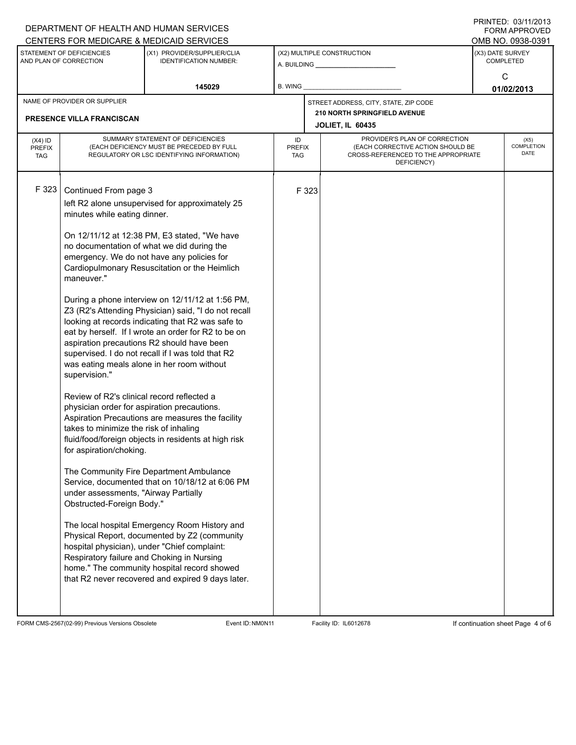|                                                     |                                                                                                                                                                                                                                                                                                                                                                           | DEPARTMENT OF HEALTH AND HUMAN SERVICES<br>CENTERS FOR MEDICARE & MEDICAID SERVICES                                                                                                                                                                                                                                                                                                                                                                                                                                                                                                                                                                                                                                                                                                                                                                                                                                                                                                                                                                                                  |         |                                                                                                                                                  |                                                         |                                      | <b>FORM APPROVED</b><br>OMB NO. 0938-0391 |  |
|-----------------------------------------------------|---------------------------------------------------------------------------------------------------------------------------------------------------------------------------------------------------------------------------------------------------------------------------------------------------------------------------------------------------------------------------|--------------------------------------------------------------------------------------------------------------------------------------------------------------------------------------------------------------------------------------------------------------------------------------------------------------------------------------------------------------------------------------------------------------------------------------------------------------------------------------------------------------------------------------------------------------------------------------------------------------------------------------------------------------------------------------------------------------------------------------------------------------------------------------------------------------------------------------------------------------------------------------------------------------------------------------------------------------------------------------------------------------------------------------------------------------------------------------|---------|--------------------------------------------------------------------------------------------------------------------------------------------------|---------------------------------------------------------|--------------------------------------|-------------------------------------------|--|
| STATEMENT OF DEFICIENCIES<br>AND PLAN OF CORRECTION |                                                                                                                                                                                                                                                                                                                                                                           | (X1) PROVIDER/SUPPLIER/CLIA<br><b>IDENTIFICATION NUMBER:</b>                                                                                                                                                                                                                                                                                                                                                                                                                                                                                                                                                                                                                                                                                                                                                                                                                                                                                                                                                                                                                         |         |                                                                                                                                                  | (X2) MULTIPLE CONSTRUCTION<br>A. BUILDING A. BUILDING   | (X3) DATE SURVEY<br><b>COMPLETED</b> |                                           |  |
|                                                     |                                                                                                                                                                                                                                                                                                                                                                           | 145029                                                                                                                                                                                                                                                                                                                                                                                                                                                                                                                                                                                                                                                                                                                                                                                                                                                                                                                                                                                                                                                                               | B. WING |                                                                                                                                                  |                                                         | C<br>01/02/2013                      |                                           |  |
|                                                     | NAME OF PROVIDER OR SUPPLIER                                                                                                                                                                                                                                                                                                                                              |                                                                                                                                                                                                                                                                                                                                                                                                                                                                                                                                                                                                                                                                                                                                                                                                                                                                                                                                                                                                                                                                                      |         |                                                                                                                                                  | STREET ADDRESS, CITY, STATE, ZIP CODE                   |                                      |                                           |  |
|                                                     | PRESENCE VILLA FRANCISCAN                                                                                                                                                                                                                                                                                                                                                 |                                                                                                                                                                                                                                                                                                                                                                                                                                                                                                                                                                                                                                                                                                                                                                                                                                                                                                                                                                                                                                                                                      |         |                                                                                                                                                  | 210 NORTH SPRINGFIELD AVENUE<br><b>JOLIET, IL 60435</b> |                                      |                                           |  |
| $(X4)$ ID<br><b>PREFIX</b><br><b>TAG</b>            | SUMMARY STATEMENT OF DEFICIENCIES<br>(EACH DEFICIENCY MUST BE PRECEDED BY FULL<br>REGULATORY OR LSC IDENTIFYING INFORMATION)                                                                                                                                                                                                                                              |                                                                                                                                                                                                                                                                                                                                                                                                                                                                                                                                                                                                                                                                                                                                                                                                                                                                                                                                                                                                                                                                                      | ID      | PROVIDER'S PLAN OF CORRECTION<br>(EACH CORRECTIVE ACTION SHOULD BE<br><b>PREFIX</b><br>CROSS-REFERENCED TO THE APPROPRIATE<br>TAG<br>DEFICIENCY) |                                                         |                                      |                                           |  |
| F 323                                               | Continued From page 3<br>minutes while eating dinner.<br>maneuver."<br>supervision."<br>Review of R2's clinical record reflected a<br>physician order for aspiration precautions.<br>takes to minimize the risk of inhaling<br>for aspiration/choking.<br>under assessments, "Airway Partially<br>Obstructed-Foreign Body."<br>Respiratory failure and Choking in Nursing | left R2 alone unsupervised for approximately 25<br>On 12/11/12 at 12:38 PM, E3 stated, "We have<br>no documentation of what we did during the<br>emergency. We do not have any policies for<br>Cardiopulmonary Resuscitation or the Heimlich<br>During a phone interview on 12/11/12 at 1:56 PM,<br>Z3 (R2's Attending Physician) said, "I do not recall<br>looking at records indicating that R2 was safe to<br>eat by herself. If I wrote an order for R2 to be on<br>aspiration precautions R2 should have been<br>supervised. I do not recall if I was told that R2<br>was eating meals alone in her room without<br>Aspiration Precautions are measures the facility<br>fluid/food/foreign objects in residents at high risk<br>The Community Fire Department Ambulance<br>Service, documented that on 10/18/12 at 6:06 PM<br>The local hospital Emergency Room History and<br>Physical Report, documented by Z2 (community<br>hospital physician), under "Chief complaint:<br>home." The community hospital record showed<br>that R2 never recovered and expired 9 days later. |         | F 323                                                                                                                                            |                                                         |                                      |                                           |  |

FORM CMS-2567(02-99) Previous Versions Obsolete Event ID:NM0N11 Facility ID: IL6012678 If continuation sheet Page 4 of 6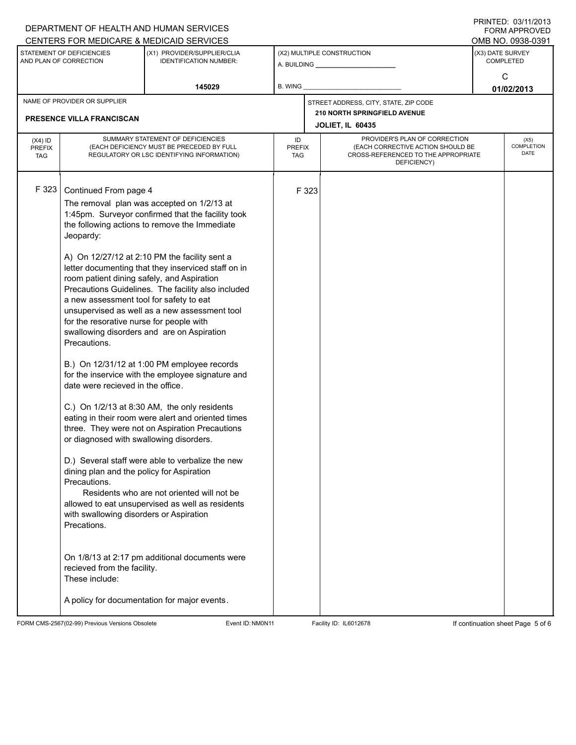|                                          |                                                                                                                                                                                                                                                                                                                                                                                                                                                                                                                                                                                                                                                                                                                                                                                                                                                                                                                                                                                                                                                                                                                                                                                                                                                                                                                                                                   | DEPARTMENT OF HEALTH AND HUMAN SERVICES<br>CENTERS FOR MEDICARE & MEDICAID SERVICES |         |                                                                                                                                                  |                                       |                                       | <b>FORM APPROVED</b>       |  |  |  |
|------------------------------------------|-------------------------------------------------------------------------------------------------------------------------------------------------------------------------------------------------------------------------------------------------------------------------------------------------------------------------------------------------------------------------------------------------------------------------------------------------------------------------------------------------------------------------------------------------------------------------------------------------------------------------------------------------------------------------------------------------------------------------------------------------------------------------------------------------------------------------------------------------------------------------------------------------------------------------------------------------------------------------------------------------------------------------------------------------------------------------------------------------------------------------------------------------------------------------------------------------------------------------------------------------------------------------------------------------------------------------------------------------------------------|-------------------------------------------------------------------------------------|---------|--------------------------------------------------------------------------------------------------------------------------------------------------|---------------------------------------|---------------------------------------|----------------------------|--|--|--|
|                                          | STATEMENT OF DEFICIENCIES                                                                                                                                                                                                                                                                                                                                                                                                                                                                                                                                                                                                                                                                                                                                                                                                                                                                                                                                                                                                                                                                                                                                                                                                                                                                                                                                         | (X1) PROVIDER/SUPPLIER/CLIA                                                         |         |                                                                                                                                                  | (X2) MULTIPLE CONSTRUCTION            | OMB NO. 0938-0391<br>(X3) DATE SURVEY |                            |  |  |  |
| AND PLAN OF CORRECTION                   |                                                                                                                                                                                                                                                                                                                                                                                                                                                                                                                                                                                                                                                                                                                                                                                                                                                                                                                                                                                                                                                                                                                                                                                                                                                                                                                                                                   | <b>IDENTIFICATION NUMBER:</b>                                                       |         |                                                                                                                                                  |                                       | <b>COMPLETED</b><br>C                 |                            |  |  |  |
| 145029                                   |                                                                                                                                                                                                                                                                                                                                                                                                                                                                                                                                                                                                                                                                                                                                                                                                                                                                                                                                                                                                                                                                                                                                                                                                                                                                                                                                                                   |                                                                                     | B. WING |                                                                                                                                                  |                                       | 01/02/2013                            |                            |  |  |  |
| NAME OF PROVIDER OR SUPPLIER             |                                                                                                                                                                                                                                                                                                                                                                                                                                                                                                                                                                                                                                                                                                                                                                                                                                                                                                                                                                                                                                                                                                                                                                                                                                                                                                                                                                   |                                                                                     |         |                                                                                                                                                  | STREET ADDRESS, CITY, STATE, ZIP CODE |                                       |                            |  |  |  |
|                                          |                                                                                                                                                                                                                                                                                                                                                                                                                                                                                                                                                                                                                                                                                                                                                                                                                                                                                                                                                                                                                                                                                                                                                                                                                                                                                                                                                                   |                                                                                     |         | 210 NORTH SPRINGFIELD AVENUE<br><b>JOLIET, IL 60435</b>                                                                                          |                                       |                                       |                            |  |  |  |
| $(X4)$ ID<br><b>PREFIX</b><br><b>TAG</b> | SUMMARY STATEMENT OF DEFICIENCIES<br>(EACH DEFICIENCY MUST BE PRECEDED BY FULL<br>REGULATORY OR LSC IDENTIFYING INFORMATION)                                                                                                                                                                                                                                                                                                                                                                                                                                                                                                                                                                                                                                                                                                                                                                                                                                                                                                                                                                                                                                                                                                                                                                                                                                      |                                                                                     | ID      | PROVIDER'S PLAN OF CORRECTION<br>(EACH CORRECTIVE ACTION SHOULD BE<br><b>PREFIX</b><br>CROSS-REFERENCED TO THE APPROPRIATE<br>TAG<br>DEFICIENCY) |                                       |                                       | (X5)<br>COMPLETION<br>DATE |  |  |  |
| F 323                                    | PRESENCE VILLA FRANCISCAN<br>Continued From page 4<br>The removal plan was accepted on 1/2/13 at<br>1:45pm. Surveyor confirmed that the facility took<br>the following actions to remove the Immediate<br>Jeopardy:<br>A) On 12/27/12 at 2:10 PM the facility sent a<br>letter documenting that they inserviced staff on in<br>room patient dining safely, and Aspiration<br>Precautions Guidelines. The facility also included<br>a new assessment tool for safety to eat<br>unsupervised as well as a new assessment tool<br>for the resorative nurse for people with<br>swallowing disorders and are on Aspiration<br>Precautions.<br>B.) On 12/31/12 at 1:00 PM employee records<br>for the inservice with the employee signature and<br>date were recieved in the office.<br>C.) On 1/2/13 at 8:30 AM, the only residents<br>eating in their room were alert and oriented times<br>three. They were not on Aspiration Precautions<br>or diagnosed with swallowing disorders.<br>D.) Several staff were able to verbalize the new<br>dining plan and the policy for Aspiration<br>Precautions.<br>Residents who are not oriented will not be<br>allowed to eat unsupervised as well as residents<br>with swallowing disorders or Aspiration<br>Precations.<br>On 1/8/13 at 2:17 pm additional documents were<br>recieved from the facility.<br>These include: |                                                                                     |         | F 323                                                                                                                                            |                                       |                                       |                            |  |  |  |
|                                          |                                                                                                                                                                                                                                                                                                                                                                                                                                                                                                                                                                                                                                                                                                                                                                                                                                                                                                                                                                                                                                                                                                                                                                                                                                                                                                                                                                   | A policy for documentation for major events.                                        |         |                                                                                                                                                  |                                       |                                       |                            |  |  |  |

FORM CMS-2567(02-99) Previous Versions Obsolete Event ID:NM0N11 Facility ID: IL6012678 If continuation sheet Page 5 of 6